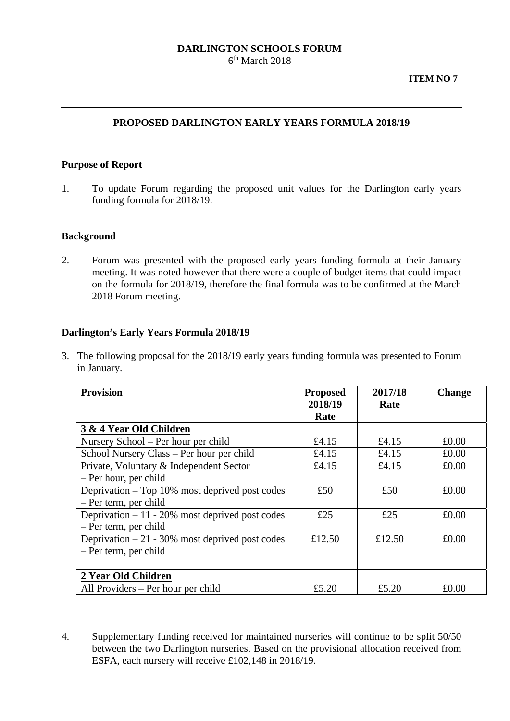### **DARLINGTON SCHOOLS FORUM**   $6<sup>th</sup>$  March 2018

## **PROPOSED DARLINGTON EARLY YEARS FORMULA 2018/19**

#### **Purpose of Report**

1. To update Forum regarding the proposed unit values for the Darlington early years funding formula for 2018/19.

### **Background**

2. Forum was presented with the proposed early years funding formula at their January meeting. It was noted however that there were a couple of budget items that could impact on the formula for 2018/19, therefore the final formula was to be confirmed at the March 2018 Forum meeting.

### **Darlington's Early Years Formula 2018/19**

3. The following proposal for the 2018/19 early years funding formula was presented to Forum in January.

| <b>Provision</b>                                  | <b>Proposed</b><br>2018/19<br>Rate | 2017/18<br>Rate | <b>Change</b> |
|---------------------------------------------------|------------------------------------|-----------------|---------------|
| 3 & 4 Year Old Children                           |                                    |                 |               |
| Nursery School – Per hour per child               | £4.15                              | £4.15           | £0.00         |
| School Nursery Class – Per hour per child         | £4.15                              | £4.15           | £0.00         |
| Private, Voluntary & Independent Sector           | £4.15                              | £4.15           | £0.00         |
| - Per hour, per child                             |                                    |                 |               |
| Deprivation – Top 10% most deprived post codes    | £50                                | £50             | £0.00         |
| - Per term, per child                             |                                    |                 |               |
| Deprivation $-11 - 20\%$ most deprived post codes | £25                                | £25             | £0.00         |
| - Per term, per child                             |                                    |                 |               |
| Deprivation $-21 - 30\%$ most deprived post codes | £12.50                             | £12.50          | £0.00         |
| - Per term, per child                             |                                    |                 |               |
|                                                   |                                    |                 |               |
| 2 Year Old Children                               |                                    |                 |               |
| All Providers – Per hour per child                | £5.20                              | £5.20           | £0.00         |

4. Supplementary funding received for maintained nurseries will continue to be split 50/50 between the two Darlington nurseries. Based on the provisional allocation received from ESFA, each nursery will receive £102,148 in 2018/19.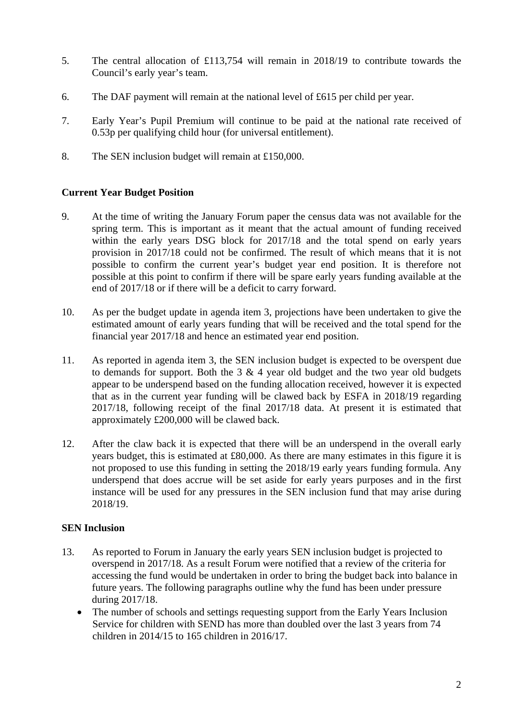- 5. The central allocation of £113,754 will remain in 2018/19 to contribute towards the Council's early year's team.
- 6. The DAF payment will remain at the national level of £615 per child per year.
- 7. Early Year's Pupil Premium will continue to be paid at the national rate received of 0.53p per qualifying child hour (for universal entitlement).
- 8. The SEN inclusion budget will remain at £150,000.

## **Current Year Budget Position**

- 9. At the time of writing the January Forum paper the census data was not available for the spring term. This is important as it meant that the actual amount of funding received within the early years DSG block for 2017/18 and the total spend on early years provision in 2017/18 could not be confirmed. The result of which means that it is not possible to confirm the current year's budget year end position. It is therefore not possible at this point to confirm if there will be spare early years funding available at the end of 2017/18 or if there will be a deficit to carry forward.
- 10. As per the budget update in agenda item 3, projections have been undertaken to give the estimated amount of early years funding that will be received and the total spend for the financial year 2017/18 and hence an estimated year end position.
- 11. As reported in agenda item 3, the SEN inclusion budget is expected to be overspent due to demands for support. Both the  $3 \& 4$  year old budget and the two year old budgets appear to be underspend based on the funding allocation received, however it is expected that as in the current year funding will be clawed back by ESFA in 2018/19 regarding 2017/18, following receipt of the final 2017/18 data. At present it is estimated that approximately £200,000 will be clawed back.
- 12. After the claw back it is expected that there will be an underspend in the overall early years budget, this is estimated at £80,000. As there are many estimates in this figure it is not proposed to use this funding in setting the 2018/19 early years funding formula. Any underspend that does accrue will be set aside for early years purposes and in the first instance will be used for any pressures in the SEN inclusion fund that may arise during 2018/19.

### **SEN Inclusion**

- 13. As reported to Forum in January the early years SEN inclusion budget is projected to overspend in 2017/18. As a result Forum were notified that a review of the criteria for accessing the fund would be undertaken in order to bring the budget back into balance in future years. The following paragraphs outline why the fund has been under pressure during 2017/18.
	- The number of schools and settings requesting support from the Early Years Inclusion Service for children with SEND has more than doubled over the last 3 years from 74 children in 2014/15 to 165 children in 2016/17.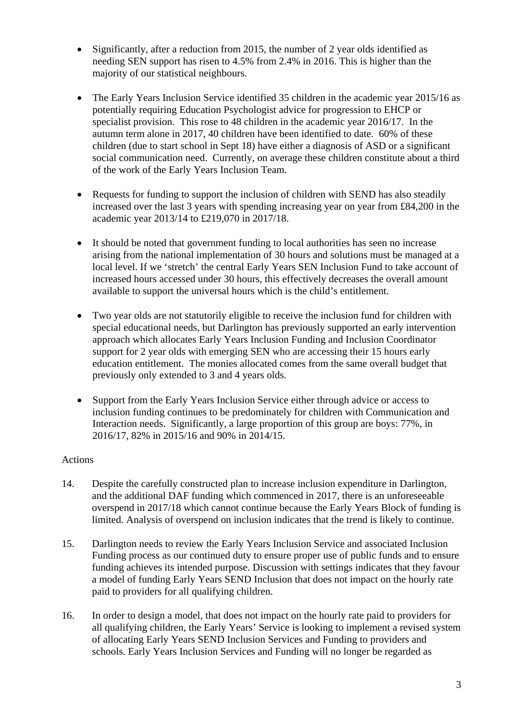- Significantly, after a reduction from 2015, the number of 2 year olds identified as needing SEN support has risen to 4.5% from 2.4% in 2016. This is higher than the majority of our statistical neighbours.
- The Early Years Inclusion Service identified 35 children in the academic year 2015/16 as potentially requiring Education Psychologist advice for progression to EHCP or specialist provision. This rose to 48 children in the academic year 2016/17. In the autumn term alone in 2017, 40 children have been identified to date. 60% of these children (due to start school in Sept 18) have either a diagnosis of ASD or a significant social communication need. Currently, on average these children constitute about a third of the work of the Early Years Inclusion Team.
- Requests for funding to support the inclusion of children with SEND has also steadily increased over the last 3 years with spending increasing year on year from £84,200 in the academic year 2013/14 to £219,070 in 2017/18.
- It should be noted that government funding to local authorities has seen no increase arising from the national implementation of 30 hours and solutions must be managed at a local level. If we 'stretch' the central Early Years SEN Inclusion Fund to take account of increased hours accessed under 30 hours, this effectively decreases the overall amount available to support the universal hours which is the child's entitlement.
- Two year olds are not statutorily eligible to receive the inclusion fund for children with special educational needs, but Darlington has previously supported an early intervention approach which allocates Early Years Inclusion Funding and Inclusion Coordinator support for 2 year olds with emerging SEN who are accessing their 15 hours early education entitlement. The monies allocated comes from the same overall budget that previously only extended to 3 and 4 years olds.
- Support from the Early Years Inclusion Service either through advice or access to inclusion funding continues to be predominately for children with Communication and Interaction needs. Significantly, a large proportion of this group are boys: 77%, in 2016/17, 82% in 2015/16 and 90% in 2014/15.

# Actions

- 14. Despite the carefully constructed plan to increase inclusion expenditure in Darlington, and the additional DAF funding which commenced in 2017, there is an unforeseeable overspend in 2017/18 which cannot continue because the Early Years Block of funding is limited. Analysis of overspend on inclusion indicates that the trend is likely to continue.
- 15. Darlington needs to review the Early Years Inclusion Service and associated Inclusion Funding process as our continued duty to ensure proper use of public funds and to ensure funding achieves its intended purpose. Discussion with settings indicates that they favour a model of funding Early Years SEND Inclusion that does not impact on the hourly rate paid to providers for all qualifying children.
- 16. In order to design a model, that does not impact on the hourly rate paid to providers for all qualifying children, the Early Years' Service is looking to implement a revised system of allocating Early Years SEND Inclusion Services and Funding to providers and schools. Early Years Inclusion Services and Funding will no longer be regarded as